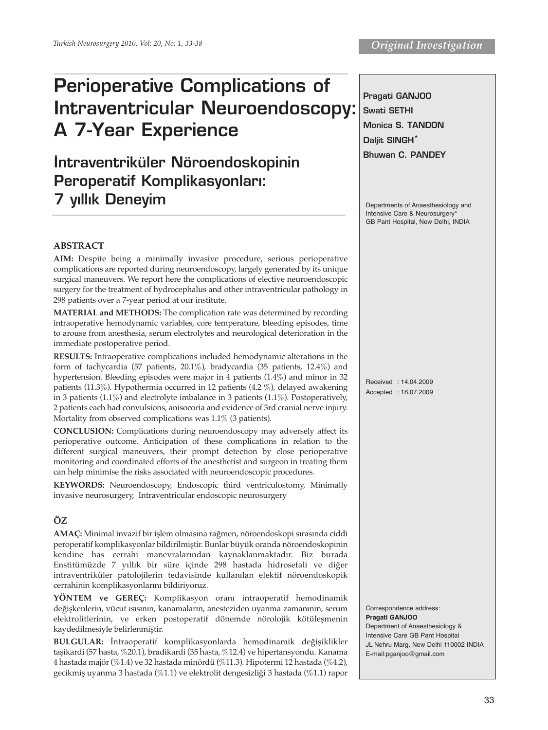# **Perioperative Complications of Intraventricular Neuroendoscopy: A 7-Year Experience**

**‹ntraventriküler Nöroendoskopinin Peroperatif Komplikasyonları: 7 yıllık Deneyim** 

# **Pragati GANJOO Swati SETHI Monica S. TANDON Daljit SINGH\* Bhuwan C. PANDEY**

Departments of Anaesthesiology and Intensive Care & Neurosurgery' GB Pant Hospital, New Delhi, INDIA

# **ABSTRACT**

**AIM:** Despite being a minimally invasive procedure, serious perioperative complications are reported during neuroendoscopy, largely generated by its unique surgical maneuvers. We report here the complications of elective neuroendoscopic surgery for the treatment of hydrocephalus and other intraventricular pathology in 298 patients over a 7-year period at our institute.

**MATERIAL and METHODS:** The complication rate was determined by recording intraoperative hemodynamic variables, core temperature, bleeding episodes, time to arouse from anesthesia, serum electrolytes and neurological deterioration in the immediate postoperative period.

**RESULTS:** Intraoperative complications included hemodynamic alterations in the form of tachycardia (57 patients, 20.1%), bradycardia (35 patients, 12.4%) and hypertension. Bleeding episodes were major in 4 patients (1.4%) and minor in 32 patients (11.3%). Hypothermia occurred in 12 patients (4.2 %), delayed awakening in 3 patients (1.1%) and electrolyte imbalance in 3 patients (1.1%). Postoperatively, 2 patients each had convulsions, anisocoria and evidence of 3rd cranial nerve injury. Mortality from observed complications was 1.1% (3 patients).

**CONCLUSION:** Complications during neuroendoscopy may adversely affect its perioperative outcome. Anticipation of these complications in relation to the different surgical maneuvers, their prompt detection by close perioperative monitoring and coordinated efforts of the anesthetist and surgeon in treating them can help minimise the risks associated with neuroendoscopic procedures.

**KEYWORDS:** Neuroendoscopy, Endoscopic third ventriculostomy, Minimally invasive neurosurgery, Intraventricular endoscopic neurosurgery

# **ÖZ**

**AMAÇ:** Minimal invazif bir işlem olmasına rağmen, nöroendoskopi sırasında ciddi peroperatif komplikasyonlar bildirilmiştir. Bunlar büyük oranda nöroendoskopinin kendine has cerrahi manevralarından kaynaklanmaktadır. Biz burada Enstitümüzde 7 yıllık bir süre içinde 298 hastada hidrosefali ve diğer intraventriküler patolojilerin tedavisinde kullanılan elektif nöroendoskopik cerrahinin komplikasyonlarını bildiriyoruz.

**YÖNTEM ve GEREÇ:** Komplikasyon oranı intraoperatif hemodinamik değişkenlerin, vücut ısısının, kanamaların, anesteziden uyanma zamanının, serum elektrolitlerinin, ve erken postoperatif dönemde nörolojik kötüleşmenin kaydedilmesiyle belirlenmiştir.

**BULGULAR:** İntraoperatif komplikasyonlarda hemodinamik değişiklikler taşikardi (57 hasta, %20.1), bradikardi (35 hasta, %12.4) ve hipertansyondu. Kanama 4 hastada majör (%1.4) ve 32 hastada minördü (%11.3). Hipotermi 12 hastada (%4.2), gecikmiş uyanma 3 hastada (%1.1) ve elektrolit dengesizliği 3 hastada (%1.1) rapor

Received : 14.04.2009 Accepted : 16.07.2009

Correspondence address: **Pragati GANJOO** Department of Anaesthesiology & Intensive Care GB Pant Hospital JL Nehru Marg, New Delhi 110002 INDIA E-mail:pganjoo@gmail.com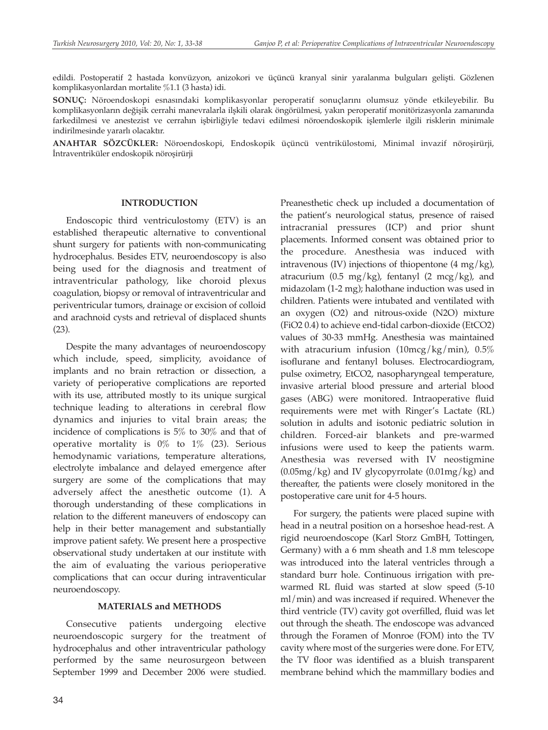edildi. Postoperatif 2 hastada konvüzyon, anizokori ve üçüncü kranyal sinir yaralanma bulguları gelişti. Gözlenen komplikasyonlardan mortalite %1.1 (3 hasta) idi.

**SONUÇ:** Nöroendoskopi esnasındaki komplikasyonlar peroperatif sonuçlarını olumsuz yönde etkileyebilir. Bu komplikasyonların değişik cerrahi manevralarla ilşkili olarak öngörülmesi, yakın peroperatif monitörizasyonla zamanında farkedilmesi ve anestezist ve cerrahın işbirliğiyle tedavi edilmesi nöroendoskopik işlemlerle ilgili risklerin minimale indirilmesinde yararlı olacaktır.

**ANAHTAR SÖZCÜKLER:** Nöroendoskopi, Endoskopik üçüncü ventrikülostomi, Minimal invazif nöroşirürji, İntraventriküler endoskopik nöroşirürji

#### **INTRODUCTION**

Endoscopic third ventriculostomy (ETV) is an established therapeutic alternative to conventional shunt surgery for patients with non-communicating hydrocephalus. Besides ETV, neuroendoscopy is also being used for the diagnosis and treatment of intraventricular pathology, like choroid plexus coagulation, biopsy or removal of intraventricular and periventricular tumors, drainage or excision of colloid and arachnoid cysts and retrieval of displaced shunts (23).

Despite the many advantages of neuroendoscopy which include, speed, simplicity, avoidance of implants and no brain retraction or dissection, a variety of perioperative complications are reported with its use, attributed mostly to its unique surgical technique leading to alterations in cerebral flow dynamics and injuries to vital brain areas; the incidence of complications is 5% to 30% and that of operative mortality is  $0\%$  to  $1\%$  (23). Serious hemodynamic variations, temperature alterations, electrolyte imbalance and delayed emergence after surgery are some of the complications that may adversely affect the anesthetic outcome (1). A thorough understanding of these complications in relation to the different maneuvers of endoscopy can help in their better management and substantially improve patient safety. We present here a prospective observational study undertaken at our institute with the aim of evaluating the various perioperative complications that can occur during intraventicular neuroendoscopy.

#### **MATERIALS and METHODS**

Consecutive patients undergoing elective neuroendoscopic surgery for the treatment of hydrocephalus and other intraventricular pathology performed by the same neurosurgeon between September 1999 and December 2006 were studied.

34

Preanesthetic check up included a documentation of the patient's neurological status, presence of raised intracranial pressures (ICP) and prior shunt placements. Informed consent was obtained prior to the procedure. Anesthesia was induced with intravenous (IV) injections of thiopentone  $(4 \text{ mg/kg})$ , atracurium (0.5 mg/kg), fentanyl (2 mcg/kg), and midazolam (1-2 mg); halothane induction was used in children. Patients were intubated and ventilated with an oxygen (O2) and nitrous-oxide (N2O) mixture (FiO2 0.4) to achieve end-tidal carbon-dioxide (EtCO2) values of 30-33 mmHg. Anesthesia was maintained with atracurium infusion  $(10\text{mcg/kg/min})$ ,  $0.5\%$ isoflurane and fentanyl boluses. Electrocardiogram, pulse oximetry, EtCO2, nasopharyngeal temperature, invasive arterial blood pressure and arterial blood gases (ABG) were monitored. Intraoperative fluid requirements were met with Ringer's Lactate (RL) solution in adults and isotonic pediatric solution in children. Forced-air blankets and pre-warmed infusions were used to keep the patients warm. Anesthesia was reversed with IV neostigmine  $(0.05mg/kg)$  and IV glycopyrrolate  $(0.01mg/kg)$  and thereafter, the patients were closely monitored in the postoperative care unit for 4-5 hours.

For surgery, the patients were placed supine with head in a neutral position on a horseshoe head-rest. A rigid neuroendoscope (Karl Storz GmBH, Tottingen, Germany) with a 6 mm sheath and 1.8 mm telescope was introduced into the lateral ventricles through a standard burr hole. Continuous irrigation with prewarmed RL fluid was started at slow speed (5-10 ml/min) and was increased if required. Whenever the third ventricle (TV) cavity got overfilled, fluid was let out through the sheath. The endoscope was advanced through the Foramen of Monroe (FOM) into the TV cavity where most of the surgeries were done. For ETV, the TV floor was identified as a bluish transparent membrane behind which the mammillary bodies and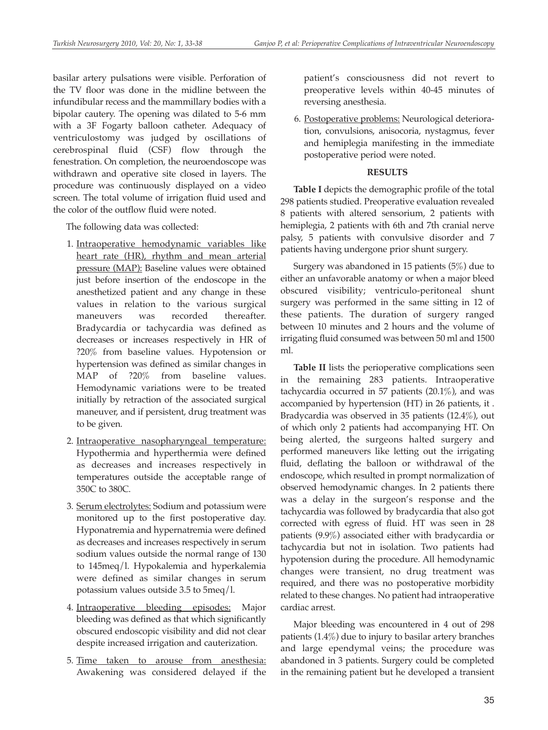basilar artery pulsations were visible. Perforation of the TV floor was done in the midline between the infundibular recess and the mammillary bodies with a bipolar cautery. The opening was dilated to 5-6 mm with a 3F Fogarty balloon catheter. Adequacy of ventriculostomy was judged by oscillations of cerebrospinal fluid (CSF) flow through the fenestration. On completion, the neuroendoscope was withdrawn and operative site closed in layers. The procedure was continuously displayed on a video screen. The total volume of irrigation fluid used and the color of the outflow fluid were noted.

The following data was collected:

- 1. Intraoperative hemodynamic variables like heart rate (HR), rhythm and mean arterial pressure (MAP): Baseline values were obtained just before insertion of the endoscope in the anesthetized patient and any change in these values in relation to the various surgical maneuvers was recorded thereafter. Bradycardia or tachycardia was defined as decreases or increases respectively in HR of ?20% from baseline values. Hypotension or hypertension was defined as similar changes in MAP of ?20% from baseline values. Hemodynamic variations were to be treated initially by retraction of the associated surgical maneuver, and if persistent, drug treatment was to be given.
- 2. Intraoperative nasopharyngeal temperature: Hypothermia and hyperthermia were defined as decreases and increases respectively in temperatures outside the acceptable range of 350C to 380C.
- 3. Serum electrolytes: Sodium and potassium were monitored up to the first postoperative day. Hyponatremia and hypernatremia were defined as decreases and increases respectively in serum sodium values outside the normal range of 130 to 145meq/l. Hypokalemia and hyperkalemia were defined as similar changes in serum potassium values outside 3.5 to 5meq/l.
- 4. Intraoperative bleeding episodes: Major bleeding was defined as that which significantly obscured endoscopic visibility and did not clear despite increased irrigation and cauterization.
- 5. Time taken to arouse from anesthesia: Awakening was considered delayed if the

patient's consciousness did not revert to preoperative levels within 40-45 minutes of reversing anesthesia.

6. Postoperative problems: Neurological deterioration, convulsions, anisocoria, nystagmus, fever and hemiplegia manifesting in the immediate postoperative period were noted.

### **RESULTS**

**Table I** depicts the demographic profile of the total 298 patients studied. Preoperative evaluation revealed 8 patients with altered sensorium, 2 patients with hemiplegia, 2 patients with 6th and 7th cranial nerve palsy, 5 patients with convulsive disorder and 7 patients having undergone prior shunt surgery.

Surgery was abandoned in 15 patients (5%) due to either an unfavorable anatomy or when a major bleed obscured visibility; ventriculo-peritoneal shunt surgery was performed in the same sitting in 12 of these patients. The duration of surgery ranged between 10 minutes and 2 hours and the volume of irrigating fluid consumed was between 50 ml and 1500 ml.

**Table II** lists the perioperative complications seen in the remaining 283 patients. Intraoperative tachycardia occurred in 57 patients (20.1%), and was accompanied by hypertension (HT) in 26 patients, it . Bradycardia was observed in 35 patients (12.4%), out of which only 2 patients had accompanying HT. On being alerted, the surgeons halted surgery and performed maneuvers like letting out the irrigating fluid, deflating the balloon or withdrawal of the endoscope, which resulted in prompt normalization of observed hemodynamic changes. In 2 patients there was a delay in the surgeon's response and the tachycardia was followed by bradycardia that also got corrected with egress of fluid. HT was seen in 28 patients (9.9%) associated either with bradycardia or tachycardia but not in isolation. Two patients had hypotension during the procedure. All hemodynamic changes were transient, no drug treatment was required, and there was no postoperative morbidity related to these changes. No patient had intraoperative cardiac arrest.

Major bleeding was encountered in 4 out of 298 patients (1.4%) due to injury to basilar artery branches and large ependymal veins; the procedure was abandoned in 3 patients. Surgery could be completed in the remaining patient but he developed a transient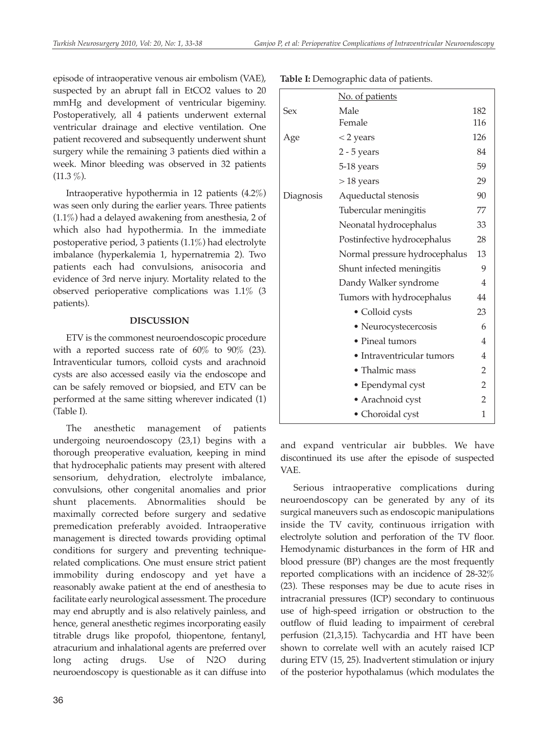episode of intraoperative venous air embolism (VAE), suspected by an abrupt fall in EtCO2 values to 20 mmHg and development of ventricular bigeminy. Postoperatively, all 4 patients underwent external ventricular drainage and elective ventilation. One patient recovered and subsequently underwent shunt surgery while the remaining 3 patients died within a week. Minor bleeding was observed in 32 patients  $(11.3\%)$ .

Intraoperative hypothermia in 12 patients (4.2%) was seen only during the earlier years. Three patients (1.1%) had a delayed awakening from anesthesia, 2 of which also had hypothermia. In the immediate postoperative period, 3 patients (1.1%) had electrolyte imbalance (hyperkalemia 1, hypernatremia 2). Two patients each had convulsions, anisocoria and evidence of 3rd nerve injury. Mortality related to the observed perioperative complications was 1.1% (3 patients).

## **DISCUSSION**

ETV is the commonest neuroendoscopic procedure with a reported success rate of  $60\%$  to  $90\%$  (23). Intraventicular tumors, colloid cysts and arachnoid cysts are also accessed easily via the endoscope and can be safely removed or biopsied, and ETV can be performed at the same sitting wherever indicated (1) (Table I).

The anesthetic management of patients undergoing neuroendoscopy (23,1) begins with a thorough preoperative evaluation, keeping in mind that hydrocephalic patients may present with altered sensorium, dehydration, electrolyte imbalance, convulsions, other congenital anomalies and prior shunt placements. Abnormalities should be maximally corrected before surgery and sedative premedication preferably avoided. Intraoperative management is directed towards providing optimal conditions for surgery and preventing techniquerelated complications. One must ensure strict patient immobility during endoscopy and yet have a reasonably awake patient at the end of anesthesia to facilitate early neurological assessment. The procedure may end abruptly and is also relatively painless, and hence, general anesthetic regimes incorporating easily titrable drugs like propofol, thiopentone, fentanyl, atracurium and inhalational agents are preferred over long acting drugs. Use of N2O during neuroendoscopy is questionable as it can diffuse into

| ۰<br>I<br>$\sim$ | I<br>$\sim$ |
|------------------|-------------|

|           | No. of patients               |                |
|-----------|-------------------------------|----------------|
| Sex       | Male                          | 182            |
|           | Female                        | 116            |
| Age       | $<$ 2 years                   | 126            |
|           | $2 - 5$ years                 | 84             |
|           | 5-18 years                    | 59             |
|           | $> 18$ years                  | 29             |
| Diagnosis | Aqueductal stenosis           | 90             |
|           | Tubercular meningitis         | 77             |
|           | Neonatal hydrocephalus        | 33             |
|           | Postinfective hydrocephalus   | 28             |
|           | Normal pressure hydrocephalus |                |
|           | Shunt infected meningitis     |                |
|           | Dandy Walker syndrome         |                |
|           | Tumors with hydrocephalus     | 44             |
|           | • Colloid cysts               | 23             |
|           | • Neurocystecercosis          | 6              |
|           | • Pineal tumors               | 4              |
|           | • Intraventricular tumors     | 4              |
|           | • Thalmic mass                | $\overline{2}$ |
|           | • Ependymal cyst              | $\overline{2}$ |
|           | · Arachnoid cyst              | $\overline{2}$ |
|           | • Choroidal cyst              | 1              |

**Table I:** Demographic data of patients.

and expand ventricular air bubbles. We have discontinued its use after the episode of suspected VAE.

Serious intraoperative complications during neuroendoscopy can be generated by any of its surgical maneuvers such as endoscopic manipulations inside the TV cavity, continuous irrigation with electrolyte solution and perforation of the TV floor. Hemodynamic disturbances in the form of HR and blood pressure (BP) changes are the most frequently reported complications with an incidence of 28-32% (23). These responses may be due to acute rises in intracranial pressures (ICP) secondary to continuous use of high-speed irrigation or obstruction to the outflow of fluid leading to impairment of cerebral perfusion (21,3,15). Tachycardia and HT have been shown to correlate well with an acutely raised ICP during ETV (15, 25). Inadvertent stimulation or injury of the posterior hypothalamus (which modulates the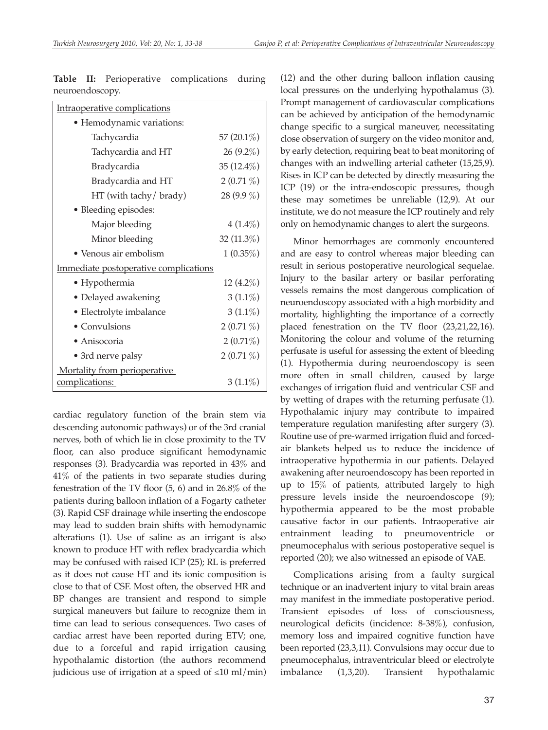| Intraoperative complications          |               |  |  |
|---------------------------------------|---------------|--|--|
| • Hemodynamic variations:             |               |  |  |
| Tachycardia                           | 57 $(20.1\%)$ |  |  |
| Tachycardia and HT                    | $26(9.2\%)$   |  |  |
| Bradycardia                           | 35 $(12.4\%)$ |  |  |
| Bradycardia and HT                    | $2(0.71\%)$   |  |  |
| HT (with tachy/ brady)                | 28 $(9.9\%)$  |  |  |
| · Bleeding episodes:                  |               |  |  |
| Major bleeding                        | $4(1.4\%)$    |  |  |
| Minor bleeding                        | 32 (11.3%)    |  |  |
| • Venous air embolism                 | $1(0.35\%)$   |  |  |
| Immediate postoperative complications |               |  |  |
| • Hypothermia                         | $12(4.2\%)$   |  |  |
| • Delayed awakening                   | $3(1.1\%)$    |  |  |
| • Electrolyte imbalance               | $3(1.1\%)$    |  |  |
| • Convulsions                         | $2(0.71\%)$   |  |  |
| • Anisocoria                          | $2(0.71\%)$   |  |  |
| • 3rd nerve palsy                     | $2(0.71\%)$   |  |  |
| Mortality from perioperative          |               |  |  |
| complications:                        | $3(1.1\%)$    |  |  |

**Table II:** Perioperative complications during neuroendoscopy.

cardiac regulatory function of the brain stem via descending autonomic pathways) or of the 3rd cranial nerves, both of which lie in close proximity to the TV floor, can also produce significant hemodynamic responses (3). Bradycardia was reported in 43% and 41% of the patients in two separate studies during fenestration of the TV floor (5, 6) and in 26.8% of the patients during balloon inflation of a Fogarty catheter (3). Rapid CSF drainage while inserting the endoscope may lead to sudden brain shifts with hemodynamic alterations (1). Use of saline as an irrigant is also known to produce HT with reflex bradycardia which may be confused with raised ICP (25); RL is preferred as it does not cause HT and its ionic composition is close to that of CSF. Most often, the observed HR and BP changes are transient and respond to simple surgical maneuvers but failure to recognize them in time can lead to serious consequences. Two cases of cardiac arrest have been reported during ETV; one, due to a forceful and rapid irrigation causing hypothalamic distortion (the authors recommend judicious use of irrigation at a speed of  $\leq 10$  ml/min)

(12) and the other during balloon inflation causing local pressures on the underlying hypothalamus (3). Prompt management of cardiovascular complications can be achieved by anticipation of the hemodynamic change specific to a surgical maneuver, necessitating close observation of surgery on the video monitor and, by early detection, requiring beat to beat monitoring of changes with an indwelling arterial catheter (15,25,9). Rises in ICP can be detected by directly measuring the ICP (19) or the intra-endoscopic pressures, though these may sometimes be unreliable (12,9). At our institute, we do not measure the ICP routinely and rely only on hemodynamic changes to alert the surgeons.

Minor hemorrhages are commonly encountered and are easy to control whereas major bleeding can result in serious postoperative neurological sequelae. Injury to the basilar artery or basilar perforating vessels remains the most dangerous complication of neuroendoscopy associated with a high morbidity and mortality, highlighting the importance of a correctly placed fenestration on the TV floor (23,21,22,16). Monitoring the colour and volume of the returning perfusate is useful for assessing the extent of bleeding (1). Hypothermia during neuroendoscopy is seen more often in small children, caused by large exchanges of irrigation fluid and ventricular CSF and by wetting of drapes with the returning perfusate (1). Hypothalamic injury may contribute to impaired temperature regulation manifesting after surgery (3). Routine use of pre-warmed irrigation fluid and forcedair blankets helped us to reduce the incidence of intraoperative hypothermia in our patients. Delayed awakening after neuroendoscopy has been reported in up to 15% of patients, attributed largely to high pressure levels inside the neuroendoscope (9); hypothermia appeared to be the most probable causative factor in our patients. Intraoperative air entrainment leading to pneumoventricle or pneumocephalus with serious postoperative sequel is reported (20); we also witnessed an episode of VAE.

Complications arising from a faulty surgical technique or an inadvertent injury to vital brain areas may manifest in the immediate postoperative period. Transient episodes of loss of consciousness, neurological deficits (incidence: 8-38%), confusion, memory loss and impaired cognitive function have been reported (23,3,11). Convulsions may occur due to pneumocephalus, intraventricular bleed or electrolyte imbalance (1,3,20). Transient hypothalamic